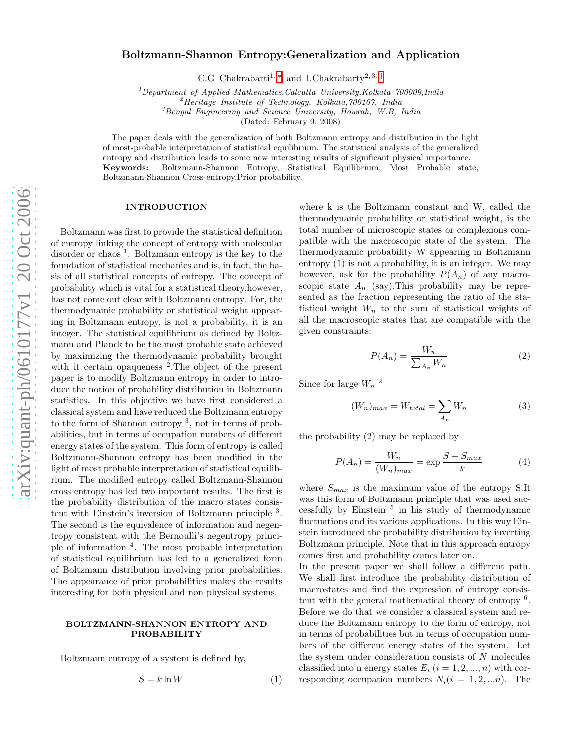# Boltzmann-Shannon Entropy:Generalization and Application

C.G Chakrabarti<sup>1,\*</sup> and I.Chakrabarty<sup>2,3,[†](#page-4-1)</sup>

 $1D$ epartment of Applied Mathematics,Calcutta University,Kolkata 700009,India  $3B$ engal Engineering and Science University, Howrah, W.B, India 3Bengal Engineering and Science University, Howrah, W.B, India

(Dated: February 9, 2008)

The paper deals with the generalization of both Boltzmann entropy and distribution in the light of most-probable interpretation of statistical equilibrium. The statistical analysis of the generalized entropy and distribution leads to some new interesting results of significant physical importance. Keywords: Boltzmann-Shannon Entropy, Statistical Equilibrium, Most Probable state, Boltzmann-Shannon Cross-entropy,Prior probability.

#### INTRODUCTION

Boltzmann was first to provide the statistical definition of entropy linking the concept of entropy with molecular disorder or chaos 1 . Boltzmann entropy is the key to the foundation of statistical mechanics and is, in fact, the basis of all statistical concepts of entropy. The concept of probability which is vital for a statistical theory,however, has not come out clear with Boltzmann entropy. For, the thermodynamic probability or statistical weight appearing in Boltzmann entropy, is not a probability, it is an integer. The statistical equilibrium as defined by Boltzmann and Planck to be the most probable state achieved by maximizing the thermodynamic probability brought with it certain opaqueness<sup>2</sup>. The object of the present paper is to modify Boltzmann entropy in order to introduce the notion of probability distribution in Boltzmann statistics. In this objective we have first considered a classical system and have reduced the Boltzmann entropy to the form of Shannon entropy 3 , not in terms of probabilities, but in terms of occupation numbers of different energy states of the system. This form of entropy is called Boltzmann-Shannon entropy has been modified in the light of most probable interpretation of statistical equilibrium. The modified entropy called Boltzmann-Shannon cross entropy has led two important results. The first is the probability distribution of the macro states consistent with Einstein's inversion of Boltzmann principle <sup>3</sup>. The second is the equivalence of information and negentropy consistent with the Bernoulli's negentropy principle of information <sup>4</sup> . The most probable interpretation of statistical equilibrium has led to a generalized form of Boltzmann distribution involving prior probabilities. The appearance of prior probabilities makes the results interesting for both physical and non physical systems.

#### BOLTZMANN-SHANNON ENTROPY AND PROBABILITY

Boltzmann entropy of a system is defined by,

$$
S = k \ln W \tag{1}
$$

where k is the Boltzmann constant and W, called the thermodynamic probability or statistical weight, is the total number of microscopic states or complexions compatible with the macroscopic state of the system. The thermodynamic probability W appearing in Boltzmann entropy (1) is not a probability, it is an integer. We may however, ask for the probability  $P(A_n)$  of any macroscopic state  $A_n$  (say). This probability may be represented as the fraction representing the ratio of the statistical weight  $W_n$  to the sum of statistical weights of all the macroscopic states that are compatible with the given constraints:

$$
P(A_n) = \frac{W_n}{\sum_{A_n} W_n} \tag{2}
$$

Since for large  $W_n$ <sup>2</sup>

$$
(W_n)_{max} = W_{total} = \sum_{A_n} W_n \tag{3}
$$

the probability (2) may be replaced by

$$
P(A_n) = \frac{W_n}{(W_n)_{max}} = \exp\frac{S - S_{max}}{k}
$$
 (4)

where  $S_{max}$  is the maximum value of the entropy S.It was this form of Boltzmann principle that was used successfully by Einstein <sup>5</sup> in his study of thermodynamic fluctuations and its various applications. In this way Einstein introduced the probability distribution by inverting Boltzmann principle. Note that in this approach entropy comes first and probability comes later on.

In the present paper we shall follow a different path. We shall first introduce the probability distribution of macrostates and find the expression of entropy consistent with the general mathematical theory of entropy <sup>6</sup>. Before we do that we consider a classical system and reduce the Boltzmann entropy to the form of entropy, not in terms of probabilities but in terms of occupation numbers of the different energy states of the system. Let the system under consideration consists of N molecules classified into n energy states  $E_i$   $(i = 1, 2, ..., n)$  with corresponding occupation numbers  $N_i(i = 1, 2, ...n)$ . The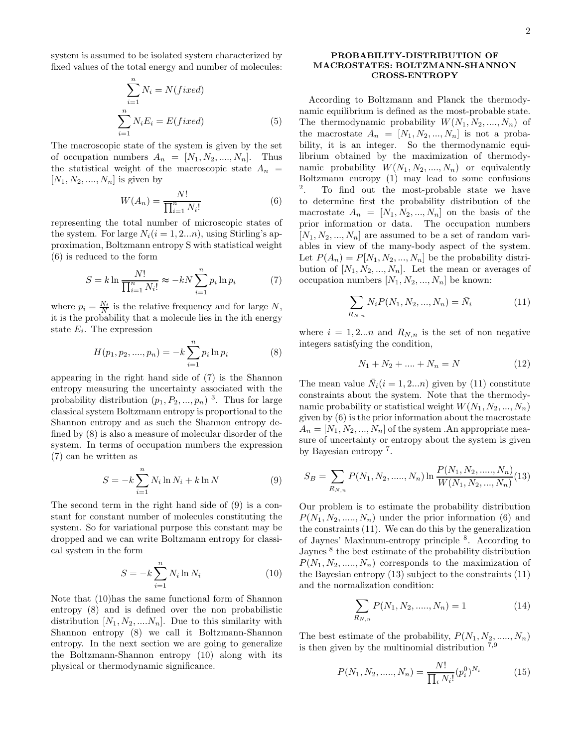system is assumed to be isolated system characterized by fixed values of the total energy and number of molecules:

$$
\sum_{i=1}^{n} N_i = N(fixed)
$$
  

$$
\sum_{i=1}^{n} N_i E_i = E(fixed)
$$
 (5)

The macroscopic state of the system is given by the set of occupation numbers  $A_n = [N_1, N_2, ..., N_n]$ . Thus the statistical weight of the macroscopic state  $A_n$  =  $[N_1, N_2, ..., N_n]$  is given by

$$
W(A_n) = \frac{N!}{\prod_{i=1}^n N_i!}
$$
 (6)

representing the total number of microscopic states of the system. For large  $N_i(i = 1, 2...n)$ , using Stirling's approximation, Boltzmann entropy S with statistical weight (6) is reduced to the form

$$
S = k \ln \frac{N!}{\prod_{i=1}^{n} N_i!} \approx -kN \sum_{i=1}^{n} p_i \ln p_i
$$
 (7)

where  $p_i = \frac{N_i}{N}$  is the relative frequency and for large N, it is the probability that a molecule lies in the ith energy state  $E_i$ . The expression

$$
H(p_1, p_2, \dots, p_n) = -k \sum_{i=1}^n p_i \ln p_i \tag{8}
$$

appearing in the right hand side of (7) is the Shannon entropy measuring the uncertainty associated with the probability distribution  $(p_1, P_2, ..., p_n)$ <sup>3</sup>. Thus for large classical system Boltzmann entropy is proportional to the Shannon entropy and as such the Shannon entropy defined by (8) is also a measure of molecular disorder of the system. In terms of occupation numbers the expression (7) can be written as

$$
S = -k \sum_{i=1}^{n} N_i \ln N_i + k \ln N \tag{9}
$$

The second term in the right hand side of (9) is a constant for constant number of molecules constituting the system. So for variational purpose this constant may be dropped and we can write Boltzmann entropy for classical system in the form

$$
S = -k \sum_{i=1}^{n} N_i \ln N_i \tag{10}
$$

Note that (10)has the same functional form of Shannon entropy (8) and is defined over the non probabilistic distribution  $[N_1, N_2, \ldots, N_n]$ . Due to this similarity with Shannon entropy (8) we call it Boltzmann-Shannon entropy. In the next section we are going to generalize the Boltzmann-Shannon entropy (10) along with its physical or thermodynamic significance.

# PROBABILITY-DISTRIBUTION OF MACROSTATES: BOLTZMANN-SHANNON CROSS-ENTROPY

According to Boltzmann and Planck the thermodynamic equilibrium is defined as the most-probable state. The thermodynamic probability  $W(N_1, N_2, ..., N_n)$  of the macrostate  $A_n = [N_1, N_2, ..., N_n]$  is not a probability, it is an integer. So the thermodynamic equilibrium obtained by the maximization of thermodynamic probability  $W(N_1, N_2, ..., N_n)$  or equivalently Boltzmann entropy (1) may lead to some confusions 2 . To find out the most-probable state we have to determine first the probability distribution of the macrostate  $A_n = [N_1, N_2, ..., N_n]$  on the basis of the prior information or data. The occupation numbers  $[N_1, N_2, ..., N_n]$  are assumed to be a set of random variables in view of the many-body aspect of the system. Let  $P(A_n) = P[N_1, N_2, ..., N_n]$  be the probability distribution of  $[N_1, N_2, ..., N_n]$ . Let the mean or averages of occupation numbers  $[N_1, N_2, ..., N_n]$  be known:

$$
\sum_{R_{N,n}} N_i P(N_1, N_2, ..., N_n) = \bar{N}_i
$$
\n(11)

where  $i = 1, 2...n$  and  $R_{N,n}$  is the set of non negative integers satisfying the condition,

$$
N_1 + N_2 + \dots + N_n = N \tag{12}
$$

The mean value  $\bar{N}_i(i = 1, 2...n)$  given by (11) constitute constraints about the system. Note that the thermodynamic probability or statistical weight  $W(N_1, N_2, ..., N_n)$ given by (6) is the prior information about the macrostate  $A_n = [N_1, N_2, ..., N_n]$  of the system . An appropriate measure of uncertainty or entropy about the system is given by Bayesian entropy<sup>7</sup>.

$$
S_B = \sum_{R_{N,n}} P(N_1, N_2, \dots, N_n) \ln \frac{P(N_1, N_2, \dots, N_n)}{W(N_1, N_2, \dots, N_n)}(13)
$$

Our problem is to estimate the probability distribution  $P(N_1, N_2, \ldots, N_n)$  under the prior information (6) and the constraints (11). We can do this by the generalization of Jaynes' Maximum-entropy principle <sup>8</sup> . According to Jaynes  $8$  the best estimate of the probability distribution  $P(N_1, N_2, \ldots, N_n)$  corresponds to the maximization of the Bayesian entropy (13) subject to the constraints (11) and the normalization condition:

$$
\sum_{R_{N,n}} P(N_1, N_2, \dots, N_n) = 1
$$
\n(14)

The best estimate of the probability,  $P(N_1, N_2, \ldots, N_n)$ is then given by the multinomial distribution  $7.9$ 

$$
P(N_1, N_2, \dots, N_n) = \frac{N!}{\prod_i N_i!} (p_i^0)^{N_i}
$$
 (15)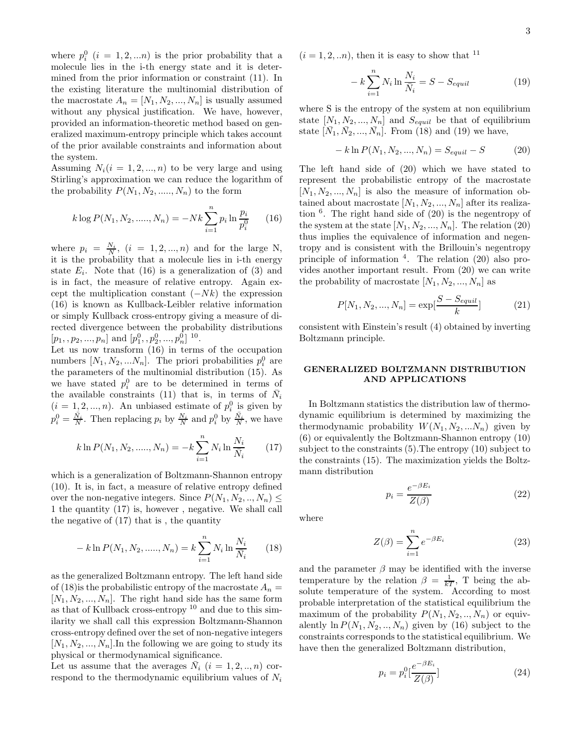where  $p_i^0$   $(i = 1, 2, ...n)$  is the prior probability that a molecule lies in the i-th energy state and it is determined from the prior information or constraint (11). In the existing literature the multinomial distribution of the macrostate  $A_n = [N_1, N_2, ..., N_n]$  is usually assumed without any physical justification. We have, however, provided an information-theoretic method based on generalized maximum-entropy principle which takes account of the prior available constraints and information about the system.

Assuming  $N_i(i = 1, 2, ..., n)$  to be very large and using Stirling's approximation we can reduce the logarithm of the probability  $P(N_1, N_2, \ldots, N_n)$  to the form

$$
k \log P(N_1, N_2, \dots, N_n) = -Nk \sum_{i=1}^n p_i \ln \frac{p_i}{p_i^0}
$$
 (16)

where  $p_i = \frac{N_i}{N}$ ,  $(i = 1, 2, ..., n)$  and for the large N, it is the probability that a molecule lies in i-th energy state  $E_i$ . Note that (16) is a generalization of (3) and is in fact, the measure of relative entropy. Again except the multiplication constant  $(-Nk)$  the expression (16) is known as Kullback-Leibler relative information or simply Kullback cross-entropy giving a measure of directed divergence between the probability distributions  $[p_1, p_2, ..., p_n]$  and  $[p_1^0, p_2^0, ..., p_n^0]$  <sup>10</sup>.

Let us now transform (16) in terms of the occupation numbers  $[N_1, N_2, ... N_n]$ . The priori probabilities  $p_i^0$  are the parameters of the multinomial distribution (15). As we have stated  $p_i^0$  are to be determined in terms of the available constraints (11) that is, in terms of  $\bar{N}_i$  $(i = 1, 2, ..., n)$ . An unbiased estimate of  $p_i^0$  is given by  $p_i^0 = \frac{\bar{N}_i}{N}$ . Then replacing  $p_i$  by  $\frac{N_i}{N}$  and  $p_i^0$  by  $\frac{\bar{N}_i}{N}$ , we have

$$
k \ln P(N_1, N_2, \dots, N_n) = -k \sum_{i=1}^n N_i \ln \frac{N_i}{\overline{N}_i}
$$
 (17)

which is a generalization of Boltzmann-Shannon entropy (10). It is, in fact, a measure of relative entropy defined over the non-negative integers. Since  $P(N_1, N_2, ..., N_n) \leq$ 1 the quantity (17) is, however , negative. We shall call the negative of (17) that is , the quantity

$$
- k \ln P(N_1, N_2, \dots, N_n) = k \sum_{i=1}^{n} N_i \ln \frac{N_i}{\bar{N}_i}
$$
 (18)

as the generalized Boltzmann entropy. The left hand side of (18) is the probabilistic entropy of the macrostate  $A_n =$  $[N_1, N_2, ..., N_n]$ . The right hand side has the same form as that of Kullback cross-entropy  $10$  and due to this similarity we shall call this expression Boltzmann-Shannon cross-entropy defined over the set of non-negative integers  $[N_1, N_2, ..., N_n]$ . In the following we are going to study its physical or thermodynamical significance.

Let us assume that the averages  $\bar{N}_i$   $(i = 1, 2, ..., n)$  correspond to the thermodynamic equilibrium values of  $N_i$   $(i = 1, 2, \ldots n)$ , then it is easy to show that <sup>11</sup>

$$
-k\sum_{i=1}^{n} N_i \ln \frac{N_i}{\bar{N}_i} = S - S_{equil}
$$
 (19)

where S is the entropy of the system at non equilibrium state  $[N_1, N_2, ..., N_n]$  and  $S_{equil}$  be that of equilibrium state  $[\bar{N}_1, \bar{N}_2, ..., \bar{N}_n]$ . From (18) and (19) we have,

$$
- k \ln P(N_1, N_2, ..., N_n) = S_{equil} - S \tag{20}
$$

The left hand side of (20) which we have stated to represent the probabilistic entropy of the macrostate  $[N_1, N_2, ..., N_n]$  is also the measure of information obtained about macrostate  $[N_1, N_2, ..., N_n]$  after its realization <sup>6</sup> . The right hand side of (20) is the negentropy of the system at the state  $[N_1, N_2, ..., N_n]$ . The relation (20) thus implies the equivalence of information and negentropy and is consistent with the Brillouin's negentropy principle of information <sup>4</sup> . The relation (20) also provides another important result. From (20) we can write the probability of macrostate  $[N_1, N_2, ..., N_n]$  as

$$
P[N_1, N_2, ..., N_n] = \exp[\frac{S - S_{equil}}{k}]
$$
 (21)

consistent with Einstein's result (4) obtained by inverting Boltzmann principle.

# GENERALIZED BOLTZMANN DISTRIBUTION AND APPLICATIONS

In Boltzmann statistics the distribution law of thermodynamic equilibrium is determined by maximizing the thermodynamic probability  $W(N_1, N_2, ... N_n)$  given by (6) or equivalently the Boltzmann-Shannon entropy (10) subject to the constraints (5).The entropy (10) subject to the constraints (15). The maximization yields the Boltzmann distribution

$$
p_i = \frac{e^{-\beta E_i}}{Z(\beta)}\tag{22}
$$

where

$$
Z(\beta) = \sum_{i=1}^{n} e^{-\beta E_i}
$$
 (23)

and the parameter  $\beta$  may be identified with the inverse temperature by the relation  $\beta = \frac{1}{kT}$ , T being the absolute temperature of the system. According to most probable interpretation of the statistical equilibrium the maximum of the probability  $P(N_1, N_2, ..., N_n)$  or equivalently  $\ln P(N_1, N_2, ..., N_n)$  given by (16) subject to the constraints corresponds to the statistical equilibrium. We have then the generalized Boltzmann distribution,

$$
p_i = p_i^0 \left[ \frac{e^{-\beta E_i}}{Z(\beta)} \right] \tag{24}
$$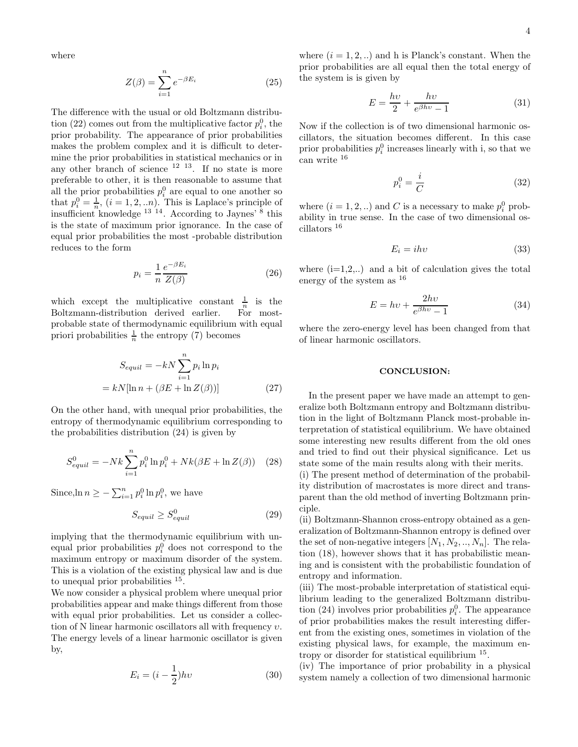where

$$
Z(\beta) = \sum_{i=1}^{n} e^{-\beta E_i}
$$
 (25)

The difference with the usual or old Boltzmann distribution (22) comes out from the multiplicative factor  $p_i^0$ , the prior probability. The appearance of prior probabilities makes the problem complex and it is difficult to determine the prior probabilities in statistical mechanics or in any other branch of science  $12 \t13$ . If no state is more preferable to other, it is then reasonable to assume that all the prior probabilities  $p_i^0$  are equal to one another so that  $p_i^0 = \frac{1}{n}$ ,  $(i = 1, 2, ...n)$ . This is Laplace's principle of insufficient knowledge 13 14. According to Jaynes' <sup>8</sup> this is the state of maximum prior ignorance. In the case of equal prior probabilities the most -probable distribution reduces to the form

$$
p_i = \frac{1}{n} \frac{e^{-\beta E_i}}{Z(\beta)}
$$
 (26)

which except the multiplicative constant  $\frac{1}{n}$  is the Boltzmann-distribution derived earlier. For mostprobable state of thermodynamic equilibrium with equal priori probabilities  $\frac{1}{n}$  the entropy (7) becomes

$$
S_{equil} = -kN \sum_{i=1}^{n} p_i \ln p_i
$$

$$
= kN[\ln n + (\beta E + \ln Z(\beta))]
$$
(27)

On the other hand, with unequal prior probabilities, the entropy of thermodynamic equilibrium corresponding to the probabilities distribution (24) is given by

$$
S_{equil}^{0} = -Nk \sum_{i=1}^{n} p_i^0 \ln p_i^0 + Nk(\beta E + \ln Z(\beta)) \quad (28)
$$

Since, ln  $n \ge -\sum_{i=1}^n p_i^0 \ln p_i^0$ , we have

$$
S_{equil} \ge S_{equil}^0 \tag{29}
$$

implying that the thermodynamic equilibrium with unequal prior probabilities  $p_i^0$  does not correspond to the maximum entropy or maximum disorder of the system. This is a violation of the existing physical law and is due to unequal prior probabilities <sup>15</sup>.

We now consider a physical problem where unequal prior probabilities appear and make things different from those with equal prior probabilities. Let us consider a collection of N linear harmonic oscillators all with frequency  $v$ . The energy levels of a linear harmonic oscillator is given by,

$$
E_i = (i - \frac{1}{2})hv \tag{30}
$$

where  $(i = 1, 2, ...)$  and h is Planck's constant. When the prior probabilities are all equal then the total energy of the system is is given by

$$
E = \frac{hv}{2} + \frac{hv}{e^{\beta hv} - 1} \tag{31}
$$

Now if the collection is of two dimensional harmonic oscillators, the situation becomes different. In this case prior probabilities  $p_i^0$  increases linearly with i, so that we can write <sup>16</sup>

$$
p_i^0 = \frac{i}{C} \tag{32}
$$

where  $(i = 1, 2, ...)$  and C is a necessary to make  $p_i^0$  probability in true sense. In the case of two dimensional oscillators <sup>16</sup>

$$
E_i = ihv \tag{33}
$$

where  $(i=1,2,..)$  and a bit of calculation gives the total energy of the system as <sup>16</sup>

$$
E = hv + \frac{2hv}{e^{\beta hv} - 1}
$$
 (34)

where the zero-energy level has been changed from that of linear harmonic oscillators.

#### CONCLUSION:

In the present paper we have made an attempt to generalize both Boltzmann entropy and Boltzmann distribution in the light of Boltzmann Planck most-probable interpretation of statistical equilibrium. We have obtained some interesting new results different from the old ones and tried to find out their physical significance. Let us state some of the main results along with their merits.

(i) The present method of determination of the probability distribution of macrostates is more direct and transparent than the old method of inverting Boltzmann principle.

(ii) Boltzmann-Shannon cross-entropy obtained as a generalization of Boltzmann-Shannon entropy is defined over the set of non-negative integers  $[N_1, N_2, ..., N_n]$ . The relation (18), however shows that it has probabilistic meaning and is consistent with the probabilistic foundation of entropy and information.

(iii) The most-probable interpretation of statistical equilibrium leading to the generalized Boltzmann distribution (24) involves prior probabilities  $p_i^0$ . The appearance of prior probabilities makes the result interesting different from the existing ones, sometimes in violation of the existing physical laws, for example, the maximum entropy or disorder for statistical equilibrium <sup>15</sup> .

(iv) The importance of prior probability in a physical system namely a collection of two dimensional harmonic